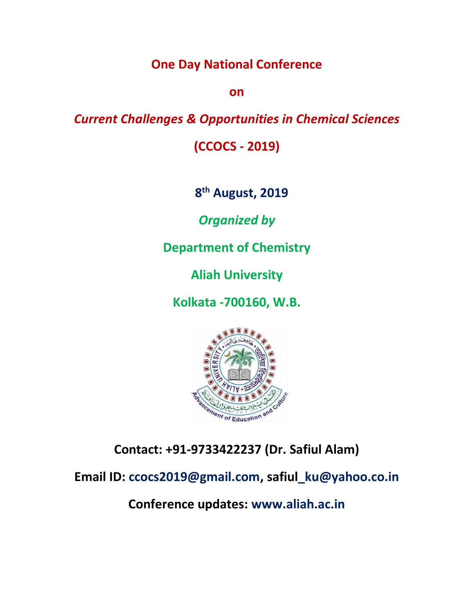# **One Day National Conference**

**on**

## *Current Challenges & Opportunities in Chemical Sciences*

**(CCOCS - 2019)**

**8 th August, 2019**

*Organized by*

**Department of Chemistry**

**Aliah University**

**Kolkata -700160, W.B.**



**Contact: +91-9733422237 (Dr. Safiul Alam)**

**Email ID: ccocs2019@gmail.com, safiul\_ku@yahoo.co.in**

**Conference updates: www.aliah.ac.in**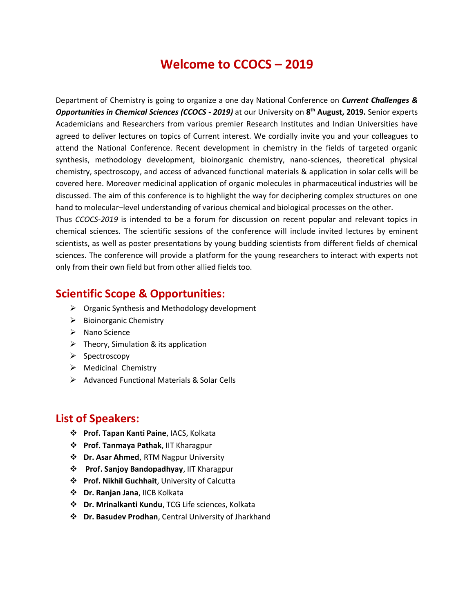# **Welcome to CCOCS – 2019**

Department of Chemistry is going to organize a one day National Conference on *Current Challenges & Opportunities in Chemical Sciences (CCOCS - 2019)* at our University on **8 th August, 2019.** Senior experts Academicians and Researchers from various premier Research Institutes and Indian Universities have agreed to deliver lectures on topics of Current interest. We cordially invite you and your colleagues to attend the National Conference. Recent development in chemistry in the fields of targeted organic synthesis, methodology development, bioinorganic chemistry, nano-sciences, theoretical physical chemistry, spectroscopy, and access of advanced functional materials & application in solar cells will be covered here. Moreover medicinal application of organic molecules in pharmaceutical industries will be discussed. The aim of this conference is to highlight the way for deciphering complex structures on one hand to molecular–level understanding of various chemical and biological processes on the other.

Thus *CCOCS-2019* is intended to be a forum for discussion on recent popular and relevant topics in chemical sciences. The scientific sessions of the conference will include invited lectures by eminent scientists, as well as poster presentations by young budding scientists from different fields of chemical sciences. The conference will provide a platform for the young researchers to interact with experts not only from their own field but from other allied fields too.

#### **Scientific Scope & Opportunities:**

- $\triangleright$  Organic Synthesis and Methodology development
- $\triangleright$  Bioinorganic Chemistry
- $\triangleright$  Nano Science
- $\triangleright$  Theory, Simulation & its application
- $\triangleright$  Spectroscopy
- $\triangleright$  Medicinal Chemistry
- $\triangleright$  Advanced Functional Materials & Solar Cells

#### **List of Speakers:**

- **Prof. Tapan Kanti Paine**, IACS, Kolkata
- **Prof. Tanmaya Pathak**, IIT Kharagpur
- **Dr. Asar Ahmed**, RTM Nagpur University
- **Prof. Sanjoy Bandopadhyay**, IIT Kharagpur
- **Prof. Nikhil Guchhait**, University of Calcutta
- **Dr. Ranjan Jana**, IICB Kolkata
- **Dr. Mrinalkanti Kundu**, TCG Life sciences, Kolkata
- **Dr. Basudev Prodhan**, Central University of Jharkhand